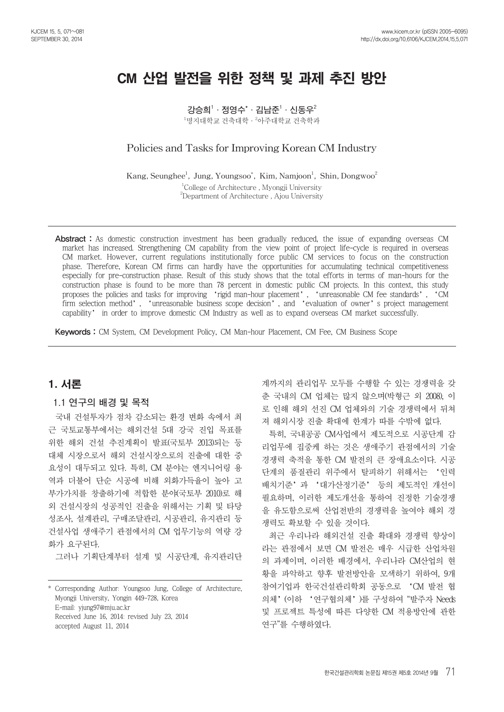# CM 산업 발전을 위한 정책 및 과제 추진 방안

**강승희1 ·정영수\* ·김남준1 ·신동우2**  $^1$ 명지대학교 건축대학ㆍ $^2$ 아주대학교 건축학과

# **Policies and Tasks for Improving Korean CM Industry**

 $\text{Kang, Seunghee}^1$ , Jung, Youngsoo<sup>\*</sup>, Kim, Namjoon<sup>1</sup>, Shin, Dongwoo<sup>2</sup> 1 College of Architecture , Myongji University 2 Department of Architecture , Ajou University

Abstract : As domestic construction investment has been gradually reduced, the issue of expanding overseas CM market has increased. Strengthening CM capability from the view point of project life-cycle is required in overseas CM market. However, current regulations institutionally force public CM services to focus on the construction phase. Therefore, Korean CM firms can hardly have the opportunities for accumulating technical competitiveness especially for pre-construction phase. Result of this study shows that the total efforts in terms of man-hours for the construction phase is found to be more than 78 percent in domestic public CM projects. In this context, this study proposes the policies and tasks for improving 'rigid man-hour placement', 'unreasonable CM fee standards', 'CM firm selection method', 'unreasonable business scope decision', and 'evaluation of owner's project management capability' in order to improve domestic CM Industry as well as to expand overseas CM market successfully.

Keywords : CM System, CM Development Policy, CM Man-hour Placement, CM Fee, CM Business Scope

# 1. 서론

### **1.1 연구의 배경 및 목적**

국내 건설투자가 점차 감소되는 환경 변화 속에서 최 근 국토교통부에서는 해외건설 5대 강국 진입 목표를 위한 해외 건설 추진계획이 발표(국토부 2013)되는 등 대체 시장으로서 해외 건설시장으로의 진출에 대한 중 요성이 대두되고 있다. 특히, CM 분야는 엔지니어링 용 역과 더불어 단순 시공에 비해 외화가득율이 높아 고 부가가치를 창출하기에 적합한 분야(국토부 2010)로 해 외 건설시장의 성공적인 진출을 위해서는 기획 및 타당 성조사, 설계관리, 구매조달관리, 시공관리, 유지관리 등 건설사업 생애주기 관점에서의 CM 업무기능의 역량 강 화가 요구된다.

그러나 기획단계부터 설계 및 시공단계, 유지관리단

\* Corresponding Author: Youngsoo Jung, College of Architecture, Myongji University, Yongin 449-728, Korea E-mail: yjung97@mju.ac.kr Received June 16, 2014: revised July 23, 2014 accepted August 11, 2014

계까지의 관리업무 모두를 수행할 수 있는 경쟁력을 갖 춘 국내의 CM 업체는 많지 않으며(박형근 외 2008), 이 로 인해 해외 선진 CM 업체와의 기술 경쟁력에서 뒤쳐 져 해외시장 진출 확대에 한계가 따를 수밖에 없다.

특히, 국내공공 CM사업에서 제도적으로 시공단계 감 리업무에 집중케 하는 것은 생애주기 관점에서의 기술 경쟁력 축적을 통한 CM 발전의 큰 장애요소이다. 시공 단계의 품질관리 위주에서 탈피하기 위해서는 '인력 배치기준'과 '대가산정기준' 등의 제도적인 개선이 필요하며, 이러한 제도개선을 통하여 진정한 기술경쟁 을 유도함으로써 산업전반의 경쟁력을 높여야 해외 경 쟁력도 확보할 수 있을 것이다.

최근 우리나라 해외건설 진출 확대와 경쟁력 향상이 라는 관점에서 보면 CM 발전은 매우 시급한 산업차원 의 과제이며, 이러한 배경에서, 우리나라 CM산업의 현 황을 파악하고 향후 발전방안을 모색하기 위하여, 9개 참여기업과 한국건설관리학회 공동으로 'CM 발전 협 의체'(이하 '연구협의체')를 구성하여 "발주자 Needs 및 프로젝트 특성에 따른 다양한 CM 적용방안에 관한 연구"를 수행하였다.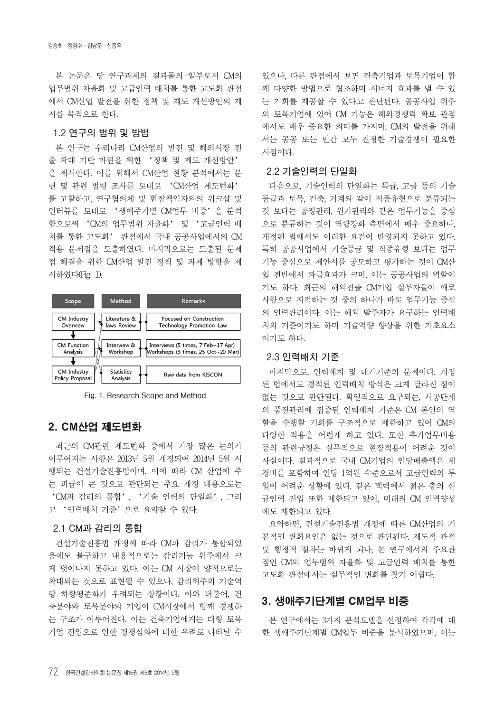본 논문은 당 연구과제의 결과물의 일부로서 CM의 업무범위 자율화 및 고급인력 배치를 통한 고도화 관점 에서 CM산업 발전을 위한 정책 및 제도 개선방안의 제 시를 목적으로 한다.

#### **1.2 연구의 범위 및 방법**

본 연구는 우리나라 CM산업의 발전 및 해외시장 진 출 확대 기반 마련을 위한 '정책 및 제도 개선방안' 을 제시한다. 이를 위해서 CM산업 현황 분석에서는 문 헌 및 관련 법령 조사를 토대로 'CM산업 제도변화' 를 고찰하고, 연구협의체 및 현장책임자와의 워크샵 및 인터뷰를 토대로 '생애주기별 CM업무 비중'을 분석 함으로써 'CM의 업무범위 자율화' 및 '고급인력 배 치를 통한 고도화' 관점에서 국내 공공사업에서의 CM 적용 문제점을 도출하였다. 마지막으로는 도출된 문제 점 해결을 위한 CM산업 발전 정책 및 과제 방향을 제 시하였다(Fig. 1).





## 2. CM산업 제도변화

최근의 CM관련 제도변화 중에서 가장 많은 논의가 이루어지는 사항은 2013년 5월 개정되어 2014년 5월 시 행되는 건설기술진흥법이며, 이에 따라 CM 산업에 주 는 파급이 큰 것으로 판단되는 주요 개정 내용으로는 'CM과 감리의 통합', '기술 인력의 단일화', 그리 고 '인력배치 기준'으로 요약할 수 있다.

#### **2.1 CM과 감리의 통합**

건설기술진흥법 개정에 따라 CM과 감리가 통합되었 음에도 불구하고 내용적으로는 감리기능 위주에서 크 게 벗어나지 못하고 있다. 이는 CM 시장이 양적으로는 확대되는 것으로 표현될 수 있으나, 감리위주의 기술역 량 하향평준화가 우려되는 상황이다. 이와 더불어, 건 축분야와 토목분야의 기업이 CM시장에서 함께 경쟁하 는 구조가 이루어진다. 이는 건축기업에게는 대형 토목 기업 진입으로 인한 경쟁심화에 대한 우려로 나타날 수

있으나, 다른 관점에서 보면 건축기업과 토목기업이 함 께 다양한 방법으로 협조하며 시너지 효과를 낼 수 있 는 기회를 제공할 수 있다고 판단된다. 공공사업 위주 의 토목기업에 있어 CM 기능은 해외경쟁력 확보 관점 에서도 매우 중요한 의미를 가지며, CM의 발전을 위해 서는 공공 또는 민간 모두 진정한 기술경쟁이 필요한 시점이다.

#### **2.2 기술인력의 단일화**

다음으로, 기술인력의 단일화는 특급, 고급 등의 기술 등급과 토목, 건축, 기계와 같이 직종유형으로 분류되는 것 보다는 공정관리, 원가관리와 같은 업무기능을 중심 으로 분류하는 것이 역량강화 측면에서 매우 중요하나, 개정된 법에서도 이러한 요건이 반영되지 못하고 있다. 특히 공공사업에서 기술등급 및 직종유형 보다는 업무 기능 중심으로 제안서를 공모하고 평가하는 것이 CM산 업 전반에서 파급효과가 크며, 이는 공공사업의 역할이 기도 하다. 최근의 해외진출 CM기업 실무자들이 애로 사항으로 지적하는 것 중의 하나가 바로 업무기능 중심 의 인력관리이다. 이는 해외 발주자가 요구하는 인력배 치의 기준이기도 하며 기술역량 향상을 위한 기초요소 이기도 하다.

#### **2.3 인력배치 기준**

마지막으로, 인력배치 및 대가기준의 문제이다. 개정 된 법에서도 경직된 인력배치 방식은 크게 달라진 점이 없는 것으로 판단된다. 획일적으로 요구되는, 시공단계 의 품질관리에 집중된 인력배치 기준은 CM 본연의 역 할을 수행할 기회를 구조적으로 제한하고 있어 CM의 다양한 적용을 어렵게 하고 있다. 또한 추가업무비용 등의 관련규정은 실무적으로 현장적용이 어려운 것이 사실이다. 결과적으로 국내 CM기업의 인당매출액은 제 경비를 포함하여 인당 1억원 수준으로서 고급인력의 투 입이 어려운 상황에 있다. 같은 맥락에서 젊은 층의 신 규인력 진입 또한 제한되고 있어, 미래의 CM 인력양성 에도 제한되고 있다.

요약하면, 건설기술진흥법 개정에 따른 CM산업의 기 본적인 변화요인은 없는 것으로 판단된다. 제도적 관점 및 행정적 절차는 바뀌게 되나, 본 연구에서의 주요관 점인 CM의 업무범위 자율화 및 고급인력 배치를 통한 고도화 관점에서는 실무적인 변화를 찾기 어렵다.

# 3. 생애주기단계별 CM업무 비중

본 연구에서는 3가지 분석모델을 선정하여 각각에 대 한 생애주기단계별 CM업무 비중을 분석하였으며, 이는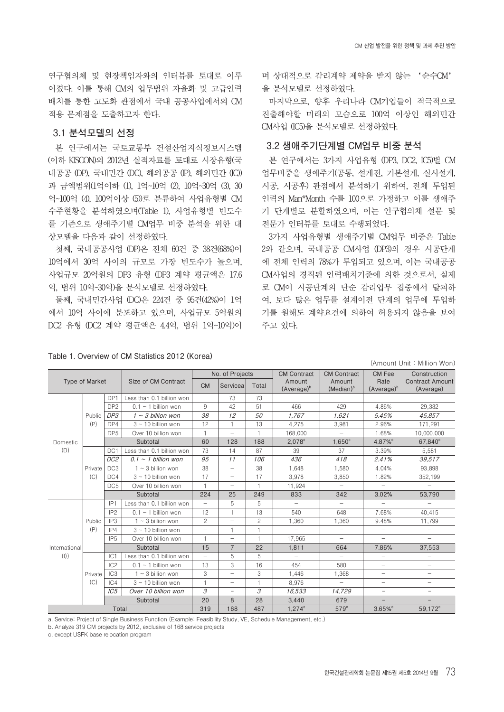연구협의체 및 현장책임자와의 인터뷰를 토대로 이루 어졌다. 이를 통해 CM의 업무범위 자율화 및 고급인력 배치를 통한 고도화 관점에서 국내 공공사업에서의 CM 적용 문제점을 도출하고자 한다.

### **3.1 분석모델의 선정**

본 연구에서는 국토교통부 건설산업지식정보시스템 (이하 KISCON)의 2012년 실적자료를 토대로 시장유형(국 내공공 (DP), 국내민간 (DC), 해외공공 (IP), 해외민간 (IC)) 과 금액범위(1억이하 (1), 1억~10억 (2), 10억~30억 (3), 30 억~100억 (4), 100억이상 (5))로 분류하여 사업유형별 CM 수주현황을 분석하였으며(Table 1), 사업유형별 빈도수 를 기준으로 생애주기별 CM업무 비중 분석을 위한 대 상모델을 다음과 같이 선정하였다.

첫째, 국내공공사업 (DP)은 전체 60건 중 38건(68%)이 10억에서 30억 사이의 규모로 가장 빈도수가 높으며, 사업규모 20억원의 DP3 유형 (DP3 계약 평균액은 17.6 억, 범위 10억~30억)을 분석모델로 선정하였다.

둘째, 국내민간사업 (DC)은 224건 중 95건(42%)이 1억 에서 10억 사이에 분포하고 있으며, 사업규모 5억원의 DC2 유형 (DC2 계약 평균액은 4.4억, 범위 1억~10억)이

## 며 상대적으로 감리계약 제약을 받지 않는 '순수CM' 을 분석모델로 선정하였다.

마지막으로, 향후 우리나라 CM기업들이 적극적으로 진출해야할 미래의 모습으로 100억 이상인 해외민간 CM사업 (IC5)을 분석모델로 선정하였다.

### **3.2 생애주기단계별 CM업무 비중 분석**

본 연구에서는 3가지 사업유형 (DP3, DC2, IC5)별 CM 업무비중을 생애주기(공통, 설계전, 기본설계, 실시설계, 시공, 시공후) 관점에서 분석하기 위하여, 전체 투입된 인력의 Man\*Month 수를 100으로 가정하고 이를 생애주 기 단계별로 분할하였으며, 이는 연구협의체 설문 및 전문가 인터뷰를 토대로 수행되었다.

3가지 사업유형별 생애주기별 CM업무 비중은 Table 2와 같으며, 국내공공 CM사업 (DP3)의 경우 시공단계 에 전체 인력의 78%가 투입되고 있으며, 이는 국내공공 CM사업의 경직된 인력배치기준에 의한 것으로서, 실제 로 CM이 시공단계의 단순 감리업무 집중에서 탈피하 여, 보다 많은 업무를 설계이전 단계의 업무에 투입하 기를 원해도 계약요건에 의하여 허용되지 않음을 보여 주고 있다.

#### **Table 1. Overview of CM Statistics 2012 (Korea)**

(Amount Unit : Million Won) **Type of Market Size of CM Contract No. of Projects CM Contract Amount**  (Average) **CM Contract Amount**  (Median)<sup>b</sup> **CM Fee Rate** (Average)<sup>t</sup> **Construction Contract Amount (Average) CM Servicea Total** Domestic (D) Public (P) DP1 | Less than 0.1 billion won  $\vert$  -  $\vert$  73 | 73 DP2 0.1 ~ 1 billion won 9 42 51 466 429 4.86% 29,332 **DP3 1 ~ 3 billion won 38 12 50 1,767 1,621 5.45% 45,857** DP4 3~10 billion won 12 1 13 4,275 3,981 2.96% 171,291 DP5 Over 10 billion won | 1 | - | 1 | 168,000 | - | 1.68% | 10,000,000 **Subtotal 60 128 188 2,078c 1,650c 4.87%c 67,840c** Private  $(C)$ DC1 Less than 0.1 billion won 73 14 87 39 37 3.39% 5,581 **DC2 0.1 ~ 1 billion won 95 11 106 436 418 2.41% 39,517** DC3 1 ~ 3 billion won 38 - 38 1,648 1,580 4.04% 93,898  $DCA$  3 ~ 10 billion won 17 - 17 3,978 3,850 1.82% 352,199 DC5 Over 10 billion won 1 1 - 1 1,924 **Subtotal 224 25 249 833 342 3.02% 53,790** International  $(|)$ Public  $(P)$  $IP1$  Less than 0.1 billion won  $5$   $5$ IP2 0.1 ~ 1 billion won | 12 | 1 | 13 | 540 | 648 | 7.68% | 40,415 IP3 1 ~ 3 billion won 2 - 2 1,360 1,360 9.48% 11,799  $IP4$   $3 \sim 10$  billion won  $-$  1 1  $IP5$  Over 10 billion won  $1 \t-1 - 1$  1 17,965 **Subtotal 15 7 22 1,811 664 7.86% 37,553** Private  $(C)$  $IC1$  Less than 0.1 billion won  $\vert$  -  $\vert$  5  $\vert$  5  $IC2$  0.1 ~ 1 billion won 13 3 16 454 580  $IC3$  1 ~ 3 billion won  $\begin{vmatrix} 3 & - & 3 \\ - & 3 & - \end{vmatrix}$  1,446  $\begin{vmatrix} 1,368 \\ -1,368 \end{vmatrix}$  $IC4$  3 ~ 10 billion won 1 1 - 1 8,976 **IC5 Over 10 billion won 3 - 3 16,533 14,729 - - Subtotal 20 8 28 3,440 679 - - Total 319 168 487 1,274c 579c 3.65%c 59,172c**

a. Service: Project of Single Business Function (Example: Feasibility Study, VE, Schedule Management, etc.)

b. Analyze 319 CM projects by 2012, exclusive of 168 service projects

c. except USFK base relocation program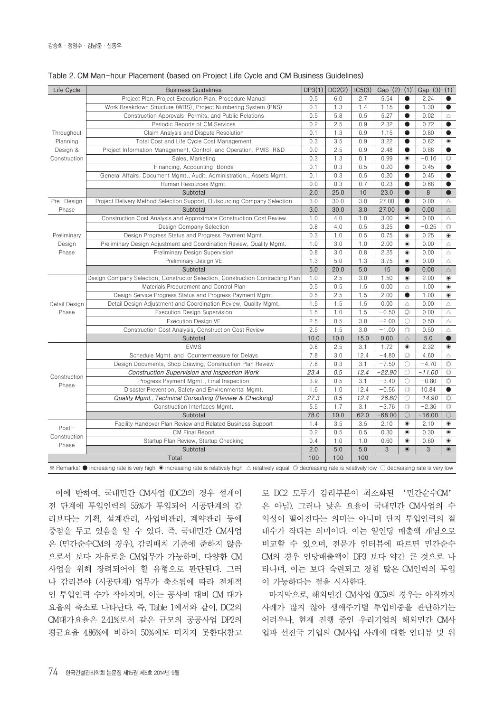| Life Cycle            | <b>Business Guidelines</b>                                                                                                                                          | DP3(1) | DC2(2) | IC5(3) | Gap '(2)-(1)' |                     | Gap $(3)-(1)$ |                  |
|-----------------------|---------------------------------------------------------------------------------------------------------------------------------------------------------------------|--------|--------|--------|---------------|---------------------|---------------|------------------|
|                       | Project Plan, Project Execution Plan, Procedure Manual                                                                                                              | 0.5    | 6.0    | 2.7    | 5.54          | $\bullet$           | 2.24          | $\bullet$        |
|                       | Work Breakdown Structure (WBS), Project Numbering System (PNS)                                                                                                      | 0.1    | 1.3    | 1.4    | 1.15          | $\bullet$           | 1.30          | $\bullet$        |
|                       | Construction Approvals, Permits, and Public Relations                                                                                                               | 0.5    | 5.8    | 0.5    | 5.27          | $\bullet$           | 0.02          | $\triangle$      |
|                       | Periodic Reports of CM Services                                                                                                                                     | 0.2    | 2.5    | 0.9    | 2.32          | $\bullet$           | 0.72          | $\bullet$        |
| Throughout            | Claim Analysis and Dispute Resolution                                                                                                                               | 0.1    | 1.3    | 0.9    | 1.15          | $\bullet$           | 0.80          | $\bullet$        |
| Planning              | Total Cost and Life Cycle Cost Management                                                                                                                           | 0.3    | 3.5    | 0.9    | 3.22          | $\bullet$           | 0.62          | $\circledbullet$ |
| Design &              | Project Information Management, Control, and Operation, PMIS, R&D                                                                                                   |        | 2.5    | 0.9    | 2.48          | $\bullet$           | 0.88          | $\bullet$        |
| Construction          | Sales, Marketing                                                                                                                                                    | 0.3    | 1.3    | 0.1    | 0.99          | $\circledbullet$    | $-0.16$       | $\circledcirc$   |
|                       | Financing, Accounting, Bonds                                                                                                                                        | 0.1    | 0.3    | 0.5    | 0.20          | $\bullet$           | 0.45          | $\bullet$        |
|                       | General Affairs, Document Mgmt., Audit, Administration., Assets Mgmt.                                                                                               | 0.1    | 0.3    | 0.5    | 0.20          | $\bullet$           | 0.45          | $\bullet$        |
|                       | Human Resources Mgmt.                                                                                                                                               | 0.0    | 0.3    | 0.7    | 0.23          | $\bullet$           | 0.68          | $\bullet$        |
|                       | Subtotal                                                                                                                                                            | 2.0    | 25.0   | 10     | 23.0          | $\bullet$           | 8             | $\bullet$        |
| Pre-Design            | Project Delivery Method Selection Support, Outsourcing Company Selection                                                                                            | 3.0    | 30.0   | 3.0    | 27.00         | $\bullet$           | 0.00          | $\triangle$      |
| Phase                 | Subtotal                                                                                                                                                            | 3.0    | 30.0   | 3.0    | 27.00         | $\bullet$           | 0.00          | $\triangle$      |
|                       | Construction Cost Analysis and Approximate Construction Cost Review                                                                                                 | 1.0    | 4.0    | 1.0    | 3.00          | $\circledbullet$    | 0.00          | $\triangle$      |
|                       | Design Company Selection                                                                                                                                            | 0.8    | 4.0    | 0.5    | 3.25          | $\bullet$           | $-0.25$       | $\circledcirc$   |
| Preliminary           | Design Progress Status and Progress Payment Mgmt.                                                                                                                   | 0.3    | 1.0    | 0.5    | 0.75          | $\circledbullet$    | 0.25          | $\circledbullet$ |
| Design                | Preliminary Design Adjustment and Coordination Review, Quality Mgmt.                                                                                                | 1.0    | 3.0    | 1.0    | 2.00          | $\bullet$           | 0.00          | $\triangle$      |
| Phase                 | Preliminary Design Supervision                                                                                                                                      | 0.8    | 3.0    | 0.8    | 2.25          | $\circledbullet$    | 0.00          | $\triangle$      |
|                       | Preliminary Design VE                                                                                                                                               | 1.3    | 5.0    | 1.3    | 3.75          | $\bullet$           | 0.00          | $\triangle$      |
|                       | Subtotal                                                                                                                                                            | 5.0    | 20.0   | 5.0    | 15            | $\bullet$           | 0.00          | $\triangle$      |
|                       | Design Company Selection, Constructor Selection, Construction Contracting Plan                                                                                      | 1.0    | 2.5    | 3.0    | 1.50          | $\circledbullet$    | 2.00          | $\circledbullet$ |
|                       | Materials Procurement and Control Plan                                                                                                                              | 0.5    | 0.5    | 1.5    | 0.00          | $\triangle$         | 1.00          | $\circledbullet$ |
|                       | Design Service Progress Status and Progress Payment Mgmt.                                                                                                           | 0.5    | 2.5    | 1.5    | 2.00          | $\bullet$           | 1.00          | $\bullet$        |
| Detail Design         | Detail Design Adjustment and Coordination Review, Quality Mgmt.                                                                                                     | 1.5    | 1.5    | 1.5    | 0.00          | $\triangle$         | 0.00          | $\triangle$      |
| Phase                 | <b>Execution Design Supervision</b>                                                                                                                                 | 1.5    | 1.0    | 1.5    | $-0.50$       | $\circledcirc$      | 0.00          | $\triangle$      |
|                       | <b>Execution Design VE</b>                                                                                                                                          | 2.5    | 0.5    | 3.0    | $-2.00$       | $\bigcirc$          | 0.50          | $\triangle$      |
|                       | Construction Cost Analysis, Construction Cost Review                                                                                                                | 2.5    | 1.5    | 3.0    | $-1.00$       | $\circledcirc$      | 0.50          | $\triangle$      |
|                       | Subtotal                                                                                                                                                            | 10.0   | 10.0   | 15.0   | 0.00          | $\triangle$         | 5.0           | $\bullet$        |
| Construction<br>Phase | <b>EVMS</b>                                                                                                                                                         | 0.8    | 2.5    | 3.1    | 1.72          | $\bullet$           | 2.32          | $\circledbullet$ |
|                       | Schedule Mgmt. and Countermeasure for Delays                                                                                                                        | 7.8    | 3.0    | 12.4   | $-4.80$       | $\circledcirc$      | 4.60          | $\triangle$      |
|                       | Design Documents, Shop Drawing, Construction Plan Review                                                                                                            | 7.8    | 0.3    | 3.1    | $-7.50$       | $\circlearrowright$ | $-4.70$       | $\circledcirc$   |
|                       | <b>Construction Supervision and Inspection Work</b>                                                                                                                 | 23.4   | 0.5    | 12.4   | $-22.90$      | $\circ$             | $-11.00$      | $\circledcirc$   |
|                       | Progress Payment Mgmt., Final Inspection                                                                                                                            | 3.9    | 0.5    | 3.1    | $-3.40$       | О                   | $-0.80$       | $\circledcirc$   |
|                       | Disaster Prevention, Safety and Environmental Mgmt.                                                                                                                 | 1.6    | 1.0    | 12.4   | $-0.56$       | $\circledcirc$      | 10.84         | $\bullet$        |
|                       | Quality Mgmt., Technical Consulting (Review & Checking)                                                                                                             | 27.3   | 0.5    | 12.4   | $-26.80$      | $\bigcirc$          | $-14.90$      | $\circledcirc$   |
|                       | Construction Interfaces Mgmt.                                                                                                                                       | 5.5    | 1.7    | 3.1    | $-3.76$       | $\circledcirc$      | $-2.36$       | $\circledcirc$   |
|                       | Subtotal                                                                                                                                                            | 78.0   | 10.0   | 62.0   | $-68.00$      | $\circ$             | $-16.00$      | $\bigcirc$       |
| $Post-$               | Facility Handover Plan Review and Related Business Support                                                                                                          | 1.4    | 3.5    | 3.5    | 2.10          | $\circledbullet$    | 2.10          | $\circledbullet$ |
|                       | <b>CM Final Report</b>                                                                                                                                              | 0.2    | 0.5    | 0.5    | 0.30          | $\circledbullet$    | 0.30          | $\circledbullet$ |
| Construction          | Startup Plan Review, Startup Checking                                                                                                                               | 0.4    | 1.0    | 1.0    | 0.60          | $\bullet$           | 0.60          | $\circledbullet$ |
| Phase                 | Subtotal                                                                                                                                                            | 2.0    | 5.0    | 5.0    | 3             | $\circledcirc$      | 3             | $\odot$          |
|                       | Total                                                                                                                                                               | 100    | 100    | 100    |               |                     |               |                  |
|                       | * Remarks: ● increasing rate is very high ● increasing rate is relatively high △ relatively equal © decreasing rate is relatively low ○ decreasing rate is very low |        |        |        |               |                     |               |                  |

| Table 2. CM Man-hour Placement (based on Project Life Cycle and CM Business Guidelines) |  |  |  |
|-----------------------------------------------------------------------------------------|--|--|--|
|-----------------------------------------------------------------------------------------|--|--|--|

이에 반하여, 국내민간 CM사업 (DC2)의 경우 설계이 전 단계에 투입인력의 55%가 투입되어 시공단계의 감 리보다는 기획, 설계관리, 사업비관리, 계약관리 등에 중점을 두고 있음을 알 수 있다. 즉, 국내민간 CM사업 은 (민간순수CM의 경우), 감리배치 기준에 준하지 않음 으로서 보다 자유로운 CM업무가 가능하며, 다양한 CM 사업을 위해 장려되어야 할 유형으로 판단된다. 그러 나 감리분야 (시공단계) 업무가 축소됨에 따라 전체적 인 투입인력 수가 작아지며, 이는 공사비 대비 CM 대가 요율의 축소로 나타난다. 즉, Table 1에서와 같이, DC2의 CM대가요율은 2.41%로서 같은 규모의 공공사업 DP2의 평균요율 4.86%에 비하여 50%에도 미치지 못한다(참고

로 DC2 모두가 감리부분이 최소화된 '민간순수CM' 은 아님). 그러나 낮은 요율이 국내민간 CM사업의 수 익성이 떨어진다는 의미는 아니며 단지 투입인력의 절 대수가 작다는 의미이다. 이는 일인당 매출액 개념으로 비교할 수 있으며, 전문가 인터뷰에 따르면 민간순수 CM의 경우 인당매출액이 DP3 보다 약간 큰 것으로 나 타나며, 이는 보다 숙련되고 경험 많은 CM인력의 투입 이 가능하다는 점을 시사한다.

마지막으로, 해외민간 CM사업 (IC5)의 경우는 아직까지 사례가 많지 않아 생애주기별 투입비중을 판단하기는 어려우나, 현재 진행 중인 우리기업의 해외민간 CM사 업과 선진국 기업의 CM사업 사례에 대한 인터뷰 및 워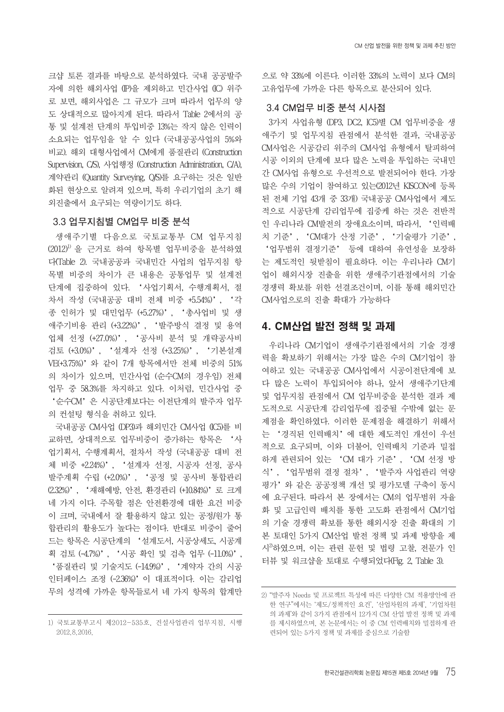크샵 토론 결과를 바탕으로 분석하였다. 국내 공공발주 자에 의한 해외사업 (IP)을 제외하고 민간사업 (IC) 위주 로 보면, 해외사업은 그 규모가 크며 따라서 업무의 양 도 상대적으로 많아지게 된다. 따라서 Table 2에서의 공 통 및 설계전 단계의 투입비중 13%는 작지 않은 인력이 소요되는 업무임을 알 수 있다 (국내공공사업의 5%와 비교). 해외 대형사업에서 CM에게 품질관리 (Construction Supervision, C/S), 사업행정 (Construction Administration, C/A), 계약관리 (Quantity Surveying, Q/S)를 요구하는 것은 일반 화된 현상으로 알려져 있으며, 특히 우리기업의 초기 해 외진출에서 요구되는 역량이기도 하다.

#### **3.3 업무지침별 CM업무 비중 분석**

생애주기별 다음으로 국토교통부 CM 업무지침 (2012)1) 을 근거로 하여 항목별 업무비중을 분석하였 다(Table 2). 국내공공과 국내민간 사업의 업무지침 항 목별 비중의 차이가 큰 내용은 공통업무 및 설계전 단계에 집중하여 있다. '사업기획서, 수행계획서, 절 차서 작성 (국내공공 대비 전체 비중 +5.54%)', '각 종 인허가 및 대민업무 (+5.27%)', '총사업비 및 생 애주기비용 관리 (+3.22%)', '발주방식 결정 및 용역 업체 선정 (+27.0%)', '공사비 분석 및 개략공사비 검토 (+3.0%)', '설계자 선정 (+3.25%)', '기본설계 VE(+3.75%)'와 같이 7개 항목에서만 전체 비중의 51% 의 차이가 있으며, 민간사업 (순수CM의 경우임) 전체 업무 중 58.3%를 차지하고 있다. 이처럼, 민간사업 중 '순수CM'은 시공단계보다는 이전단계의 발주자 업무 의 컨설팅 형식을 취하고 있다.

국내공공 CM사업 (DP3)과 해외민간 CM사업 (IC5)를 비 교하면, 상대적으로 업무비중이 증가하는 항목은 '사 업기획서, 수행계획서, 절차서 작성 (국내공공 대비 전 체 비중 +2.24%)', '설계자 선정, 시공자 선정, 공사 발주계획 수립 (+2.0%)', '공정 및 공사비 통합관리 (2.32%)', '재해예방, 안전, 환경관리 (+10.84%)'로 크게 네 가지 이다. 주목할 점은 안전환경에 대한 요건 비중 이 크며, 국내에서 잘 활용하지 않고 있는 공정/원가 통 합관리의 활용도가 높다는 점이다. 반대로 비중이 줄어 드는 항목은 시공단계의 '설계도서, 시공상세도, 시공계 획 검토 (-4.7%)', '시공 확인 및 검측 업무 (-11.0%)', '품질관리 및 기술지도 (-14.9%)', '계약자 간의 시공 인터페이스 조정 (-2.36%)'이 대표적이다. 이는 감리업 무의 성격에 가까운 항목들로서 네 가지 항목의 합계만

으로 약 33%에 이른다. 이러한 33%의 노력이 보다 CM의 고유업무에 가까운 다른 항목으로 분산되어 있다.

# **3.4 CM업무 비중 분석 시사점**

3가지 사업유형 (DP3, DC2, IC5)별 CM 업무비중을 생 애주기 및 업무지침 관점에서 분석한 결과, 국내공공 CM사업은 시공감리 위주의 CM사업 유형에서 탈피하여 시공 이외의 단계에 보다 많은 노력을 투입하는 국내민 간 CM사업 유형으로 우선적으로 발전되어야 한다. 가장 많은 수의 기업이 참여하고 있는(2012년 KISCON에 등록 된 전체 기업 43개 중 33개) 국내공공 CM사업에서 제도 적으로 시공단계 감리업무에 집중케 하는 것은 전반적 인 우리나라 CM발전의 장애요소이며, 따라서, '인력배 치 기준', 'CM대가 산정 기준', '기술평가 기준', '업무범위 결정기준' 등에 대하여 유연성을 보장하 는 제도적인 뒷받침이 필요하다. 이는 우리나라 CM기 업이 해외시장 진출을 위한 생애주기관점에서의 기술 경쟁력 확보를 위한 선결조건이며, 이를 통해 해외민간 CM사업으로의 진출 확대가 가능하다

# 4. CM산업 발전 정책 및 과제

우리나라 CM기업이 생애주기관점에서의 기술 경쟁 력을 확보하기 위해서는 가장 많은 수의 CM기업이 참 여하고 있는 국내공공 CM사업에서 시공이전단계에 보 다 많은 노력이 투입되어야 하나, 앞서 생애주기단계 및 업무지침 관점에서 CM 업무비중을 분석한 결과 제 도적으로 시공단계 감리업무에 집중될 수밖에 없는 문 제점을 확인하였다. 이러한 문제점을 해결하기 위해서 는 '경직된 인력배치'에 대한 제도적인 개선이 우선 적으로 요구되며, 이와 더불어, 인력배치 기준과 밀접 하게 관련되어 있는 'CM 대가 기준', 'CM 선정 방 식', '업무범위 결정 절차', '발주자 사업관리 역량 평가'와 같은 공공정책 개선 및 평가모델 구축이 동시 에 요구된다. 따라서 본 장에서는 CM의 업무범위 자율 화 및 고급인력 배치를 통한 고도화 관점에서 CM기업 의 기술 경쟁력 확보를 통한 해외시장 진출 확대의 기 본 토대인 5가지 CM산업 발전 정책 및 과제 방향을 제 시<sup>2</sup>하였으며, 이는 관련 문헌 및 법령 고찰, 전문가 인 터뷰 및 워크샵을 토대로 수행되었다(Fig. 2, Table 3).

<sup>1)</sup> 국토교통부고시 제2012-535호, 건설사업관리 업무지침, 시행 2012.8.2016.

<sup>2) &</sup>quot;발주자 Needs 및 프로젝트 특성에 따른 다양한 CM 적용방안에 관 한 연구"에서는 '제도/정책적인 요건', '산업차원의 과제', '기업차원 의 과제'와 같이 3가지 관점에서 12가지 CM 산업 발전 정책 및 과제 를 제시하였으며, 본 논문에서는 이 중 CM 인력배치와 밀접하게 관 련되어 있는 5가지 정책 및 과제를 중심으로 기술함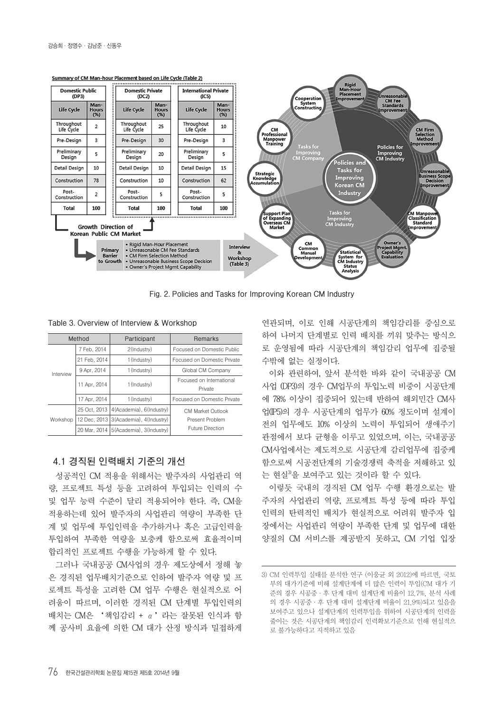

**Fig. 2. Policies and Tasks for Improving Korean CM Industry**

**Table 3. Overview of Interview & Workshop**

|           | Method       | Participant                               | Remarks                             |  |
|-----------|--------------|-------------------------------------------|-------------------------------------|--|
| Interview | 7 Feb, 2014  | 2(Industry)                               | Focused on Domestic Public          |  |
|           | 21 Feb, 2014 | 1(Industry)                               | Focused on Domestic Private         |  |
|           | 9 Apr, 2014  | 1(Industry)                               | Global CM Company                   |  |
|           | 11 Apr, 2014 | 1(Industry)                               | Focused on International<br>Private |  |
|           | 17 Apr, 2014 | 1(Industry)                               | Focused on Domestic Private         |  |
| Workshop  | 25 Oct. 2013 | 4(Academia), 6(Industry)                  | <b>CM Market Outlook</b>            |  |
|           | 12 Dec, 2013 | 3(Academia), 4(Industry)                  | Present Problem                     |  |
|           |              | 20 Mar, 2014   5 (Academia), 3 (Industry) | <b>Future Direction</b>             |  |

### **4.1 경직된 인력배치 기준의 개선**

성공적인 CM 적용을 위해서는 발주자의 사업관리 역 량, 프로젝트 특성 등을 고려하여 투입되는 인력의 수 및 업무 능력 수준이 달리 적용되어야 한다. 즉, CM을 적용하는데 있어 발주자의 사업관리 역량이 부족한 단 계 및 업무에 투입인력을 추가하거나 혹은 고급인력을 투입하여 부족한 역량을 보충케 함으로써 효율적이며 합리적인 프로젝트 수행을 가능하게 할 수 있다.

그러나 국내공공 CM사업의 경우 제도상에서 정해 놓 은 경직된 업무배치기준으로 인하여 발주자 역량 및 프 로젝트 특성을 고려한 CM 업무 수행은 현실적으로 어 려움이 따르며, 이러한 경직된 CM 단계별 투입인력의 배치는 CM은 '책임감리 + α'라는 잘못된 인식과 함 께 공사비 요율에 의한 CM 대가 산정 방식과 밀접하게

연관되며, 이로 인해 시공단계의 책임감리를 중심으로 하여 나머지 단계별로 인력 배치를 끼워 맞추는 방식으 로 운영됨에 따라 시공단계의 책임감리 업무에 집중될 수밖에 없는 실정이다.

이와 관련하여, 앞서 분석한 바와 같이 국내공공 CM 사업 (DP3)의 경우 CM업무의 투입노력 비중이 시공단계 에 78% 이상이 집중되어 있는데 반하여 해외민간 CM사 업(IP5)의 경우 시공단계의 업무가 60% 정도이며 설계이 전의 업무에도 10% 이상의 노력이 투입되어 생애주기 관점에서 보다 균형을 이루고 있었으며, 이는, 국내공공 CM사업에서는 제도적으로 시공단계 감리업무에 집중케 함으로써 시공전단계의 기술경쟁력 축적을 저해하고 있 는 현실3)을 보여주고 있는 것이라 할 수 있다.

이렇듯 국내의 경직된 CM 업무 수행 환경으로는 발 주자의 사업관리 역량, 프로젝트 특성 등에 따라 투입 인력의 탄력적인 배치가 현실적으로 어려워 발주자 입 장에서는 사업관리 역량이 부족한 단계 및 업무에 대한 양질의 CM 서비스를 제공받지 못하고, CM 기업 입장

<sup>3)</sup> CM 인력투입 실태를 분석한 연구 (이웅균 외 2012)에 따르면, 국토 부의 대가기준에 비해 설계단계에 더 많은 인력이 투입(CM 대가 기 준의 경우 시공중·후 단계 대비 설계단계 비율이 12.7%, 분석 사례 의 경우 시공중·후 단계 대비 설계단계 비율이 21.9%)되고 있음을 보여주고 있으나 설계단계의 인력투입을 위하여 시공단계의 인력을 줄이는 것은 시공단계의 책임감리 인력확보기준으로 인해 현실적으 로 불가능하다고 지적하고 있음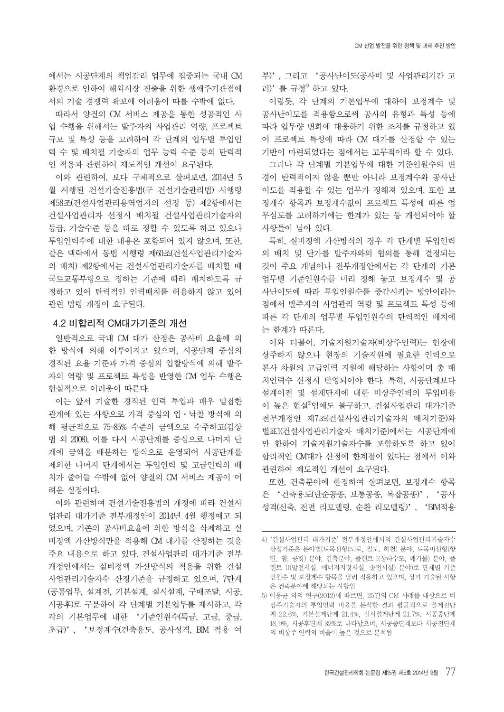에서는 시공단계의 책임감리 업무에 집중되는 국내 CM 환경으로 인하여 해외시장 진출을 위한 생애주기관점에 서의 기술 경쟁력 확보에 어려움이 따를 수밖에 없다.

따라서 양질의 CM 서비스 제공을 통한 성공적인 사 업 수행을 위해서는 발주자의 사업관리 역량, 프로젝트 규모 및 특성 등을 고려하여 각 단계의 업무별 투입인 력 수 및 배치될 기술자의 업무 능력 수준 등의 탄력적 인 적용과 관련하여 제도적인 개선이 요구된다.

이와 관련하여, 보다 구체적으로 살펴보면, 2014년 5 월 시행된 건설기술진흥법(구 건설기술관리법) 시행령 제58조(건설사업관리용역업자의 선정 등) 제2항에서는 건설사업관리자 선정시 배치될 건설사업관리기술자의 등급, 기술수준 등을 따로 정할 수 있도록 하고 있으나 투입인력수에 대한 내용은 포함되어 있지 않으며, 또한, 같은 맥락에서 동법 시행령 제60조(건설사업관리기술자 의 배치) 제2항에서는 건설사업관리기술자를 배치할 때 국토교통부령으로 정하는 기준에 따라 배치하도록 규 정하고 있어 탄력적인 인력배치를 허용하지 않고 있어 관련 법령 개정이 요구된다.

### **4.2 비합리적 CM대가기준의 개선**

일반적으로 국내 CM 대가 산정은 공사비 요율에 의 한 방식에 의해 이루어지고 있으며, 시공단계 중심의 경직된 요율 기준과 가격 중심의 입찰방식에 의해 발주 자의 역량 및 프로젝트 특성을 반영한 CM 업무 수행은 현실적으로 어려움이 따른다.

이는 앞서 기술한 경직된 인력 투입과 매우 밀접한 관계에 있는 사항으로 가격 중심의 입·낙찰 방식에 의 해 평균적으로 75~85% 수준의 금액으로 수주하고(김상 범 외 2008), 이를 다시 시공단계를 중심으로 나머지 단 계에 금액을 배분하는 방식으로 운영되어 시공단계를 제외한 나머지 단계에서는 투입인력 및 고급인력의 배 치가 줄어들 수밖에 없어 양질의 CM 서비스 제공이 어 려운 실정이다.

이와 관련하여 건설기술진흥법의 개정에 따라 건설사 업관리 대가기준 전부개정안이 2014년 4월 행정예고 되 었으며, 기존의 공사비요율에 의한 방식을 삭제하고 실 비정액 가산방식만을 적용해 CM 대가를 산정하는 것을 주요 내용으로 하고 있다. 건설사업관리 대가기준 전부 개정안에서는 실비정액 가산방식의 적용을 위한 건설 사업관리기술자수 산정기준을 규정하고 있으며, 7단계 (공통업무, 설계전, 기본설계, 실시설계, 구매조달, 시공, 시공후)로 구분하여 각 단계별 기본업무를 제시하고, 각 각의 기본업무에 대한 '기준인원수(특급, 고급, 중급, 초급)', '보정계수(건축용도, 공사성격, BIM 적용 여 부)', 그리고 '공사난이도(공사비 및 사업관리기간 고 려)'를 규정<sup>4)</sup> 하고 있다.

이렇듯, 각 단계의 기본업무에 대하여 보정계수 및 공사난이도를 적용함으로써 공사의 유형과 특성 등에 따라 업무량 변화에 대응하기 위한 조치를 규정하고 있 어 프로젝트 특성에 따라 CM 대가를 산정할 수 있는 기반이 마련되었다는 점에서는 고무적이라 할 수 있다.

그러나 각 단계별 기본업무에 대한 기준인원수의 변 경이 탄력적이지 않을 뿐만 아니라 보정계수와 공사난 이도를 적용할 수 있는 업무가 정해져 있으며, 또한 보 정계수 항목과 보정계수값이 프로젝트 특성에 따른 업 무심도를 고려하기에는 한계가 있는 등 개선되어야 할 사항들이 남아 있다.

특히, 실비정액 가산방식의 경우 각 단계별 투입인력 의 배치 및 단가를 발주자와의 협의를 통해 결정되는 것이 주요 개념이나 전부개정안에서는 각 단계의 기본 업무별 기준인원수를 미리 정해 놓고 보정계수 및 공 사난이도에 따라 투입인원수를 증감시키는 방안이라는 점에서 발주자의 사업관리 역량 및 프로젝트 특성 등에 따른 각 단계의 업무별 투입인원수의 탄력적인 배치에 는 한계가 따른다.

이와 더불어, 기술지원기술자(비상주인력)는 현장에 상주하지 않으나 현장의 기술지원에 필요한 인력으로 본사 차원의 고급인력 지원에 해당하는 사항이며 총 배 치인력수 산정시 반영되어야 한다. 특히, 시공단계보다 설계이전 및 설계단계에 대한 비상주인력의 투입비율 이 높은 현실<sup>5</sup>임에도 불구하고, 건설사업관리 대가기준 전부개정안 제7조(건설사업관리기술자의 배치기준)와 별표1(건설사업관리기술자 배치기준)에서는 시공단계에 만 한하여 기술지원기술자수를 포함하도록 하고 있어 합리적인 CM대가 산정에 한계점이 있다는 점에서 이와 관련하여 제도적인 개선이 요구된다.

또한, 건축분야에 한정하여 살펴보면, 보정계수 항목 은 '건축용도(단순공종, 보통공종, 복잡공종)', '공사 성격(신축, 전면 리모델링, 순환 리모델링)', 'BIM적용

<sup>4) &#</sup>x27;건설사업관리 대가기준' 전부개정안에서의 건설사업관리기술자수 산정기준은 분야별(토목선형(도로, 철도, 하천) 분야, 토목비선형(항 만, 댐, 공항) 분야, 건축분야, 플랜트 I(상하수도, 폐기물) 분야, 플 랜트 II(발전시설, 에너지저장시설, 송전시설) 분야)로 단계별 기준 인원수 및 보정계수 항목을 달리 적용하고 있으며, 상기 기술된 사항 은 건축분야에 해당되는 사항임

<sup>5)</sup> 이웅균 외의 연구(2012)에 따르면, 25건의 CM 사례를 대상으로 비 상주기술자의 투입인력 비율을 분석한 결과 평균적으로 설계전단 계 22.6%, 기본설계단계 21.4%, 실시설계단계 21.7%, 시공중단계 18.9%, 시공후단계 32%로 나타났으며, 시공중단계보다 시공전단계 의 비상주 인력의 비율이 높은 것으로 분석됨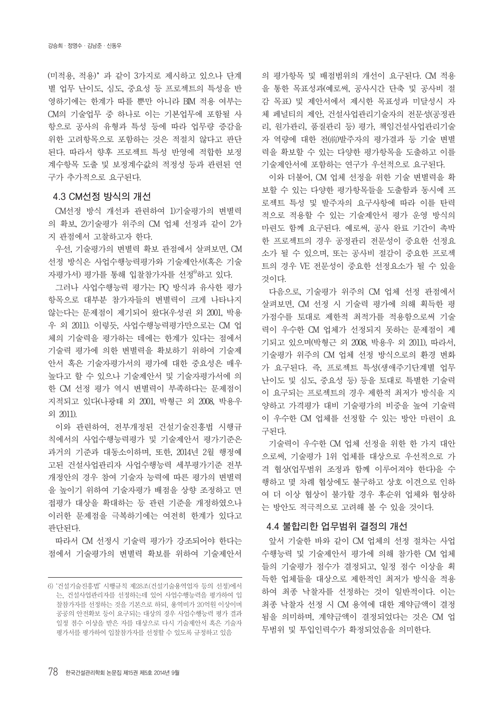(미적용, 적용)'과 같이 3가지로 제시하고 있으나 단계 별 업무 난이도, 심도, 중요성 등 프로젝트의 특성을 반 영하기에는 한계가 따를 뿐만 아니라 BIM 적용 여부는 CM의 기술업무 중 하나로 이는 기본업무에 포함될 사 항으로 공사의 유형과 특성 등에 따라 업무량 증감을 위한 고려항목으로 포함하는 것은 적절치 않다고 판단 된다. 따라서 향후 프로젝트 특성 반영에 적합한 보정 계수항목 도출 및 보정계수값의 적정성 등과 관련된 연 구가 추가적으로 요구된다.

#### **4.3 CM선정 방식의 개선**

CM선정 방식 개선과 관련하여 1)기술평가의 변별력 의 확보, 2)기술평가 위주의 CM 업체 선정과 같이 2가 지 관점에서 고찰하고자 한다.

우선, 기술평가의 변별력 확보 관점에서 살펴보면, CM 선정 방식은 사업수행능력평가와 기술제안서(혹은 기술 자평가서) 평가를 통해 입찰참가자를 선정<sup>6</sup>하고 있다.

그러나 사업수행능력 평가는 PQ 방식과 유사한 평가 항목으로 대부분 참가자들의 변별력이 크게 나타나지 않는다는 문제점이 제기되어 왔다(우성권 외 2001, 박용 우 외 2011). 이렇듯, 사업수행능력평가만으로는 CM 업 체의 기술력을 평가하는 데에는 한계가 있다는 점에서 기술력 평가에 의한 변별력을 확보하기 위하여 기술제 안서 혹은 기술자평가서의 평가에 대한 중요성은 매우 높다고 할 수 있으나 기술제안서 및 기술자평가서에 의 한 CM 선정 평가 역시 변별력이 부족하다는 문제점이 지적되고 있다(나광태 외 2001, 박형근 외 2008, 박용우 외 2011).

이와 관련하여, 전부개정된 건설기술진흥법 시행규 칙에서의 사업수행능력평가 및 기술제안서 평가기준은 과거의 기준과 대동소이하며, 또한, 2014년 2월 행정예 고된 건설사업관리자 사업수행능력 세부평가기준 전부 개정안의 경우 참여 기술자 능력에 따른 평가의 변별력 을 높이기 위하여 기술자평가 배점을 상향 조정하고 면 접평가 대상을 확대하는 등 관련 기준을 개정하였으나 이러한 문제점을 극복하기에는 여전히 한계가 있다고 판단된다.

따라서 CM 선정시 기술력 평가가 강조되어야 한다는 점에서 기술평가의 변별력 확보를 위하여 기술제안서

의 평가항목 및 배점범위의 개선이 요구된다. CM 적용 을 통한 목표성과(예로써, 공사시간 단축 및 공사비 절 감 목표) 및 제안서에서 제시한 목표성과 미달성시 자 체 페널티의 제안, 건설사업관리기술자의 전문성(공정관 리, 원가관리, 품질관리 등) 평가, 책임건설사업관리기술 자 역량에 대한 전(前)발주자의 평가결과 등 기술 변별 력을 확보할 수 있는 다양한 평가항목을 도출하고 이를 기술제안서에 포함하는 연구가 우선적으로 요구된다.

이와 더불어, CM 업체 선정을 위한 기술 변별력을 확 보할 수 있는 다양한 평가항목들을 도출함과 동시에 프 로젝트 특성 및 발주자의 요구사항에 따라 이를 탄력 적으로 적용할 수 있는 기술제안서 평가 운영 방식의 마련도 함께 요구된다. 예로써, 공사 완료 기간이 촉박 한 프로젝트의 경우 공정관리 전문성이 중요한 선정요 소가 될 수 있으며, 또는 공사비 절감이 중요한 프로젝 트의 경우 VE 전문성이 중요한 선정요소가 될 수 있을 것이다.

다음으로, 기술평가 위주의 CM 업체 선정 관점에서 살펴보면, CM 선정 시 기술력 평가에 의해 획득한 평 가점수를 토대로 제한적 최적가를 적용함으로써 기술 력이 우수한 CM 업체가 선정되지 못하는 문제점이 제 기되고 있으며(박형근 외 2008, 박용우 외 2011), 따라서, 기술평가 위주의 CM 업체 선정 방식으로의 환경 변화 가 요구된다. 즉, 프로젝트 특성(생애주기단계별 업무 난이도 및 심도, 중요성 등) 등을 토대로 특별한 기술력 이 요구되는 프로젝트의 경우 제한적 최저가 방식을 지 양하고 가격평가 대비 기술평가의 비중을 높여 기술력 이 우수한 CM 업체를 선정할 수 있는 방안 마련이 요 구된다.

기술력이 우수한 CM 업체 선정을 위한 한 가지 대안 으로써, 기술평가 1위 업체를 대상으로 우선적으로 가 격 협상(업무범위 조정과 함께 이루어져야 한다)을 수 행하고 몇 차례 협상에도 불구하고 상호 이견으로 인하 여 더 이상 협상이 불가할 경우 후순위 업체와 협상하 는 방안도 적극적으로 고려해 볼 수 있을 것이다.

#### **4.4 불합리한 업무범위 결정의 개선**

앞서 기술한 바와 같이 CM 업체의 선정 절차는 사업 수행능력 및 기술제안서 평가에 의해 참가한 CM 업체 들의 기술평가 점수가 결정되고, 일정 점수 이상을 획 득한 업체들을 대상으로 제한적인 최저가 방식을 적용 하여 최종 낙찰자를 선정하는 것이 일반적이다. 이는 최종 낙찰자 선정 시 CM 용역에 대한 계약금액이 결정 됨을 의미하며, 계약금액이 결정되었다는 것은 CM 업 무범위 및 투입인력수가 확정되었음을 의미한다.

<sup>6) &#</sup>x27;건설기술진흥법' 시행규칙 제28조(건설기술용역업자 등의 선정)에서 는, 건설사업관리자를 선정하는데 있어 사업수행능력을 평가하여 입 찰참가자를 선정하는 것을 기본으로 하되, 용역비가 20억원 이상이며 공공의 안전확보 등이 요구되는 대상의 경우 사업수행능력 평가 결과 일정 점수 이상을 받은 자를 대상으로 다시 기술제안서 혹은 기술자 평가서를 평가하여 입찰참가자를 선정할 수 있도록 규정하고 있음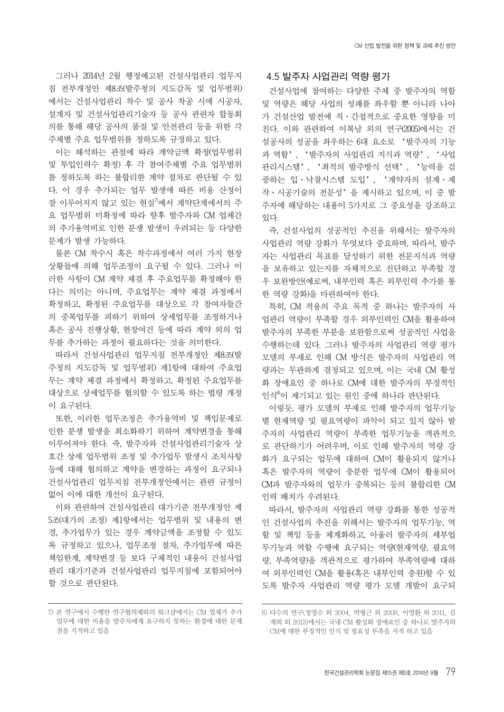그러나 2014년 2월 행정예고된 건설사업관리 업무지 침 전부개정안 제8조(발주청의 지도감독 및 업무범위) 에서는 건설사업관리 착수 및 공사 착공 시에 시공자, 설계자 및 건설사업관리기술자 등 공사 관련자 합동회 의를 통해 해당 공사의 품질 및 안전관리 등을 위한 각 주체별 주요 업무범위를 정하도록 규정하고 있다.

이는 해석하는 관점에 따라 계약금액 확정(업무범위 및 투입인력수 확정) 후 각 참여주체별 주요 업무범위 를 정하도록 하는 불합리한 계약 절차로 판단될 수 있 다. 이 경우 추가되는 업무 발생에 따른 비용 산정이 잘 이루어지지 않고 있는 현실 $\sqrt[7]{a}$ 에서 계약단계에서의 주 요 업무범위 미확정에 따라 향후 발주자와 CM 업체간 의 추가용역비로 인한 분쟁 발생이 우려되는 등 다양한 문제가 발생 가능하다.

물론 CM 착수시 혹은 착수과정에서 여러 가지 현장 상황들에 의해 업무조정이 요구될 수 있다. 그러나 이 러한 사항이 CM 계약 체결 후 주요업무를 확정해야 한 다는 의미는 아니며, 주요업무는 계약 체결 과정에서 확정하고, 확정된 주요업무를 대상으로 각 참여자들간 의 중복업무를 피하기 위하여 상세업무를 조정하거나 혹은 공사 진행상황, 현장여건 등에 따라 계약 외의 업 무를 추가하는 과정이 필요하다는 것을 의미한다.

따라서 건설사업관리 업무지침 전부개정안 제8조(발 주청의 지도감독 및 업무범위) 제1항에 대하여 주요업 무는 계약 체결 과정에서 확정하고, 확정된 주요업무를 대상으로 상세업무를 협의할 수 있도록 하는 법령 개정 이 요구된다.

또한, 이러한 업무조정은 추가용역비 및 책임문제로 인한 분쟁 발생을 최소화하기 위하여 계약변경을 통해 이루어져야 한다. 즉, 발주자와 건설사업관리기술자 상 호간 상세 업무범위 조정 및 추가업무 발생시 조치사항 등에 대해 협의하고 계약을 변경하는 과정이 요구되나 건설사업관리 업무지침 전부개정안에서는 관련 규정이 없어 이에 대한 개선이 요구된다.

이와 관련하여 건설사업관리 대가기준 전부개정안 제 5조(대가의 조정) 제1항에서는 업무범위 및 내용의 변 경, 추가업무가 있는 경우 계약금액을 조정할 수 있도 록 규정하고 있으나, 업무조정 절차, 추가업무에 따른 책임한계, 계약변경 등 보다 구체적인 내용이 건설사업 관리 대가기준과 건설사업관리 업무지침에 포함되어야 할 것으로 판단된다.

#### **4.5 발주자 사업관리 역량 평가**

건설사업에 참여하는 다양한 주체 중 발주자의 역할 및 역량은 해당 사업의 성패를 좌우할 뿐 아니라 나아 가 건설산업 발전에 직·간접적으로 중요한 영향을 미 친다. 이와 관련하여 이복남 외의 연구(2005)에서는 건 설공사의 성공을 좌우하는 6대 요소로 '발주자의 기능 과 역할', '발주자의 사업관리 지식과 역량', '사업 관리시스템', '최적의 발주방식 선택', '능력을 검 증하는 입·낙찰시스템 도입', '계약자의 설계·제 작·시공기술의 전문성'을 제시하고 있으며, 이 중 발 주자에 해당하는 내용이 5가지로 그 중요성을 강조하고 있다.

즉, 건설사업의 성공적인 추진을 위해서는 발주자의 사업관리 역량 강화가 무엇보다 중요하며, 따라서, 발주 자는 사업관리 목표를 달성하기 위한 전문지식과 역량 을 보유하고 있는지를 자체적으로 진단하고 부족할 경 우 보완방안(예로써, 내부인력 혹은 외부인력 추가를 통 한 역량 강화)을 마련하여야 한다.

특히, CM 적용의 주요 목적 중 하나는 발주자의 사 업관리 역량이 부족할 경우 외부인력인 CM을 활용하여 발주자의 부족한 부분을 보완함으로써 성공적인 사업을 수행하는데 있다. 그러나 발주자의 사업관리 역량 평가 모델의 부재로 인해 CM 방식은 발주자의 사업관리 역 량과는 무관하게 결정되고 있으며, 이는 국내 CM 활성 화 장애요인 중 하나로 CM에 대한 발주자의 부정적인 인식8)이 제기되고 있는 원인 중에 하나라 판단된다.

이렇듯, 평가 모델의 부재로 인해 발주자의 업무기능 별 현재역량 및 필요역량이 파악이 되고 있지 않아 발 주자의 사업관리 역량이 부족한 업무기능을 객관적으 로 판단하기가 어려우며, 이로 인해 발주자의 역량 강 화가 요구되는 업무에 대하여 CM이 활용되지 않거나 혹은 발주자의 역량이 충분한 업무에 CM이 활용되어 CM과 발주자와의 업무가 중복되는 등의 불합리한 CM 인력 배치가 우려된다.

따라서, 발주자의 사업관리 역량 강화를 통한 성공적 인 건설사업의 추진을 위해서는 발주자의 업무기능, 역 할 및 책임 등을 체계화하고, 아울러 발주자의 세부업 무기능과 역할 수행에 요구되는 역량(현재역량, 필요역 량, 부족역량)을 객관적으로 평가하여 부족역량에 대하 여 외부인력인 CM을 활용(혹은 내부인력 충원)할 수 있 도록 발주자 사업관리 역량 평가 모델 개발이 요구되

<sup>7)</sup> 본 연구에서 수행한 연구협의체와의 워크샵에서는 CM 업체가 추가 업무에 대한 비용을 발주자에게 요구하지 못하는 환경에 대한 문제 점을 지적하고 있음

<sup>8)</sup> 다수의 연구(정영수 외 2004, 박형근 외 2008, 이영환 외 2011, 김 재희 외 2013)에서는 국내 CM 활성화 장애요인 중 하나로 발주자의 CM에 대한 부정적인 인식 및 필요성 부족을 지적 하고 있음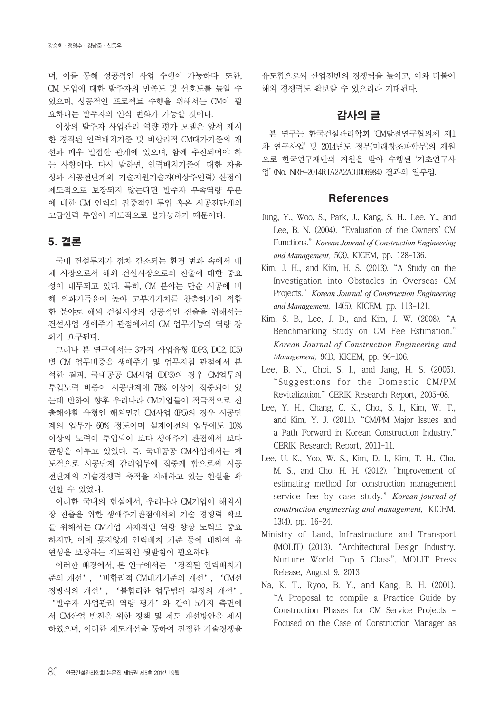며, 이를 통해 성공적인 사업 수행이 가능하다. 또한, CM 도입에 대한 발주자의 만족도 및 선호도를 높일 수 있으며, 성공적인 프로젝트 수행을 위해서는 CM이 필 요하다는 발주자의 인식 변화가 가능할 것이다.

이상의 발주자 사업관리 역량 평가 모델은 앞서 제시 한 경직된 인력배치기준 및 비합리적 CM대가기준의 개 선과 매우 밀접한 관계에 있으며, 함께 추진되어야 하 는 사항이다. 다시 말하면, 인력배치기준에 대한 자율 성과 시공전단계의 기술지원기술자(비상주인력) 산정이 제도적으로 보장되지 않는다면 발주자 부족역량 부분 에 대한 CM 인력의 집중적인 투입 혹은 시공전단계의 고급인력 투입이 제도적으로 불가능하기 때문이다.

# 5. 결론

국내 건설투자가 점차 감소되는 환경 변화 속에서 대 체 시장으로서 해외 건설시장으로의 진출에 대한 중요 성이 대두되고 있다. 특히, CM 분야는 단순 시공에 비 해 외화가득율이 높아 고부가가치를 창출하기에 적합 한 분야로 해외 건설시장의 성공적인 진출을 위해서는 건설사업 생애주기 관점에서의 CM 업무기능의 역량 강 화가 요구된다.

그러나 본 연구에서는 3가지 사업유형 (DP3, DC2, IC5) 별 CM 업무비중을 생애주기 및 업무지침 관점에서 분 석한 결과, 국내공공 CM사업 (DP3)의 경우 CM업무의 투입노력 비중이 시공단계에 78% 이상이 집중되어 있 는데 반하여 향후 우리나라 CM기업들이 적극적으로 진 출해야할 유형인 해외민간 CM사업 (IP5)의 경우 시공단 계의 업무가 60% 정도이며 설계이전의 업무에도 10% 이상의 노력이 투입되어 보다 생애주기 관점에서 보다 균형을 이루고 있었다. 즉, 국내공공 CM사업에서는 제 도적으로 시공단계 감리업무에 집중케 함으로써 시공 전단계의 기술경쟁력 축적을 저해하고 있는 현실을 확 인할 수 있었다.

이러한 국내의 현실에서, 우리나라 CM기업이 해외시 장 진출을 위한 생애주기관점에서의 기술 경쟁력 확보 를 위해서는 CM기업 자체적인 역량 향상 노력도 중요 하지만, 이에 못지않게 인력배치 기준 등에 대하여 유 연성을 보장하는 제도적인 뒷받침이 필요하다.

이러한 배경에서, 본 연구에서는 '경직된 인력배치기 준의 개선', '비합리적 CM대가기준의 개선', 'CM선 정방식의 개선', '불합리한 업무범위 결정의 개선', '발주자 사업관리 역량 평가'와 같이 5가지 측면에 서 CM산업 발전을 위한 정책 및 제도 개선방안을 제시 하였으며, 이러한 제도개선을 통하여 진정한 기술경쟁을

유도함으로써 산업전반의 경쟁력을 높이고, 이와 더불어 해외 경쟁력도 확보할 수 있으리라 기대된다.

# 감사의 글

본 연구는 한국건설관리학회 'CM발전연구협의체 제1 차 연구사업' 및 2014년도 정부(미래창조과학부)의 재원 으로 한국연구재단의 지원을 받아 수행된 '기초연구사 업' (No. NRF-2014R1A2A2A01006984) 결과의 일부임.

# References

- Jung, Y., Woo, S., Park, J., Kang, S. H., Lee, Y., and Lee, B. N. (2004). "Evaluation of the Owners' CM Functions." *Korean Journal of Construction Engineering and Management,* 5(3), KICEM, pp. 128-136.
- Kim, J. H., and Kim, H. S. (2013). "A Study on the Investigation into Obstacles in Overseas CM Projects." *Korean Journal of Construction Engineering and Management,* 14(5), KICEM, pp. 113-121.
- Kim, S. B., Lee, J. D., and Kim, J. W. (2008). "A Benchmarking Study on CM Fee Estimation." *Korean Journal of Construction Engineering and Management,* 9(1), KICEM, pp. 96-106.
- Lee, B. N., Choi, S. I., and Jang, H. S. (2005). "Suggestions for the Domestic CM/PM Revitalization." CERIK Research Report, 2005-08.
- Lee, Y. H., Chang, C. K., Choi, S. I., Kim, W. T., and Kim, Y. J. (2011). "CM/PM Major Issues and a Path Forward in Korean Construction Industry." CERIK Research Report, 2011-11.
- Lee, U. K., Yoo, W. S., Kim, D. I., Kim, T. H., Cha, M. S., and Cho, H. H. (2012). "Improvement of estimating method for construction management service fee by case study." *Korean journal of construction engineering and management,* KICEM, 13(4), pp. 16-24.
- Ministry of Land, Infrastructure and Transport (MOLIT) (2013). "Architectural Design Industry, Nurture World Top 5 Class", MOLIT Press Release, August 9, 2013
- Na, K. T., Ryoo, B. Y., and Kang, B. H. (2001). "A Proposal to compile a Practice Guide by Construction Phases for CM Service Projects - Focused on the Case of Construction Manager as